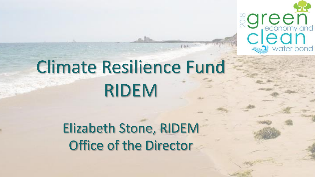

# Climate Resilience Fund RIDEM

Elizabeth Stone, RIDEM Office of the Director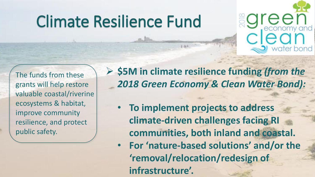### Climate Resilience Fund



The funds from these grants will help restore valuable coastal/riverine ecosystems & habitat, improve community resilience, and protect public safety.

➢ **\$5M in climate resilience funding** *(from the 2018 Green Economy & Clean Water Bond):*

- **To implement projects to address climate-driven challenges facing RI communities, both inland and coastal.**
- **For 'nature-based solutions' and/or the 'removal/relocation/redesign of infrastructure'.**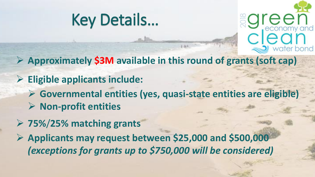



- ➢ **Approximately \$3M available in this round of grants (soft cap)**
- ➢ **Eligible applicants include:**
	- ➢ **Governmental entities (yes, quasi-state entities are eligible)**
	- ➢ **Non-profit entities**
- ➢ **75%**/**25% matching grants**
- ➢ **Applicants may request between \$25,000 and \$500,000**  *(exceptions for grants up to \$750,000 will be considered)*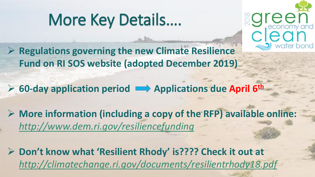# More Key Details….



➢ **Regulations governing the new Climate Resilience Fund on RI SOS website (adopted December 2019)** 

➢ **60-day application period Applications due April 6th**

➢ **More information (including a copy of the RFP) available online:**  *<http://www.dem.ri.gov/resiliencefunding>*

➢ **Don't know what 'Resilient Rhody' is???? Check it out at**  *<http://climatechange.ri.gov/documents/resilientrhody18.pdf>*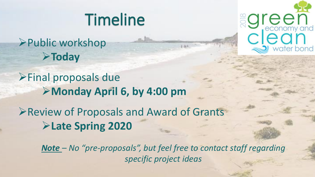### Timeline

➢Public workshop ➢**Today**

➢Final proposals due ➢**Monday April 6, by 4:00 pm**

➢Review of Proposals and Award of Grants ➢**Late Spring 2020** 

> *Note – No "pre-proposals", but feel free to contact staff regarding specific project ideas*

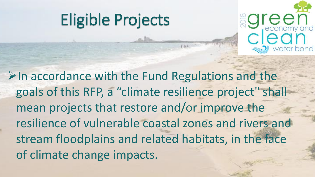### Eligible Projects



 $\triangleright$ In accordance with the Fund Regulations and the goals of this RFP, a "climate resilience project" shall mean projects that restore and/or improve the resilience of vulnerable coastal zones and rivers and stream floodplains and related habitats, in the face of climate change impacts.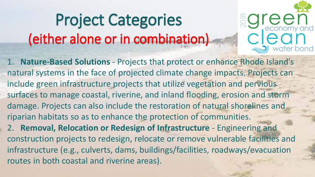# Project Categories (either alone or in combination)

1. **Nature-Based Solutions** - Projects that protect or enhance Rhode Island's natural systems in the face of projected climate change impacts. Projects can include green infrastructure projects that utilize vegetation and pervious surfaces to manage coastal, riverine, and inland flooding, erosion and storm damage. Projects can also include the restoration of natural shorelines and riparian habitats so as to enhance the protection of communities.

bond

2. **Removal, Relocation or Redesign of Infrastructure** - Engineering and construction projects to redesign, relocate or remove vulnerable facilities and infrastructure (e.g., culverts, dams, buildings/facilities, roadways/evacuation routes in both coastal and riverine areas).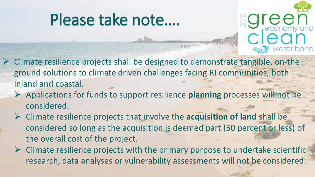### Please take note….



- ➢ Climate resilience projects shall be designed to demonstrate tangible, on-the ground solutions to climate driven challenges facing RI communities, both inland and coastal.
	- ➢ Applications for funds to support resilience **planning** processes will not be considered.
	- ➢ Climate resilience projects that involve the **acquisition of land** shall be considered so long as the acquisition is deemed part (50 percent or less) of the overall cost of the project.
	- $\triangleright$  Climate resilience projects with the primary purpose to undertake scientific research, data analyses or vulnerability assessments will not be considered.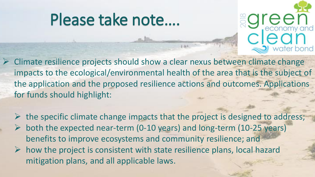### Please take note….



- ➢ Climate resilience projects should show a clear nexus between climate change impacts to the ecological/environmental health of the area that is the subject of the application and the proposed resilience actions and outcomes. Applications for funds should highlight:
	- $\triangleright$  the specific climate change impacts that the project is designed to address;  $\triangleright$  both the expected near-term (0-10 years) and long-term (10-25 years) benefits to improve ecosystems and community resilience; and
	- $\triangleright$  how the project is consistent with state resilience plans, local hazard mitigation plans, and all applicable laws.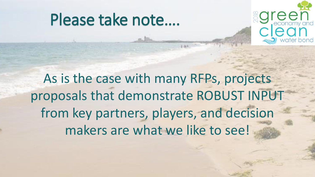### Please take note….



As is the case with many RFPs, projects proposals that demonstrate ROBUST INPUT from key partners, players, and decision makers are what we like to see!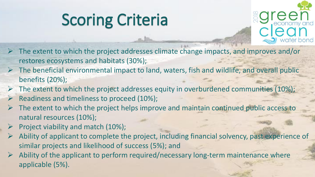# Scoring Criteria



- ➢ The extent to which the project addresses climate change impacts, and improves and/or restores ecosystems and habitats (30%);
- $\triangleright$  The beneficial environmental impact to land, waters, fish and wildlife, and overall public benefits (20%);
- $\triangleright$  The extent to which the project addresses equity in overburdened communities (10%);
- $\triangleright$  Readiness and timeliness to proceed (10%);
- $\triangleright$  The extent to which the project helps improve and maintain continued public access to natural resources (10%);
- Project viability and match (10%);
- $\triangleright$  Ability of applicant to complete the project, including financial solvency, past experience of similar projects and likelihood of success (5%); and
- $\triangleright$  Ability of the applicant to perform required/necessary long-term maintenance where applicable (5%).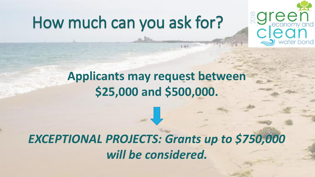### How much can you ask for?



#### **Applicants may request between \$25,000 and \$500,000.**

#### *EXCEPTIONAL PROJECTS: Grants up to \$750,000 will be considered.*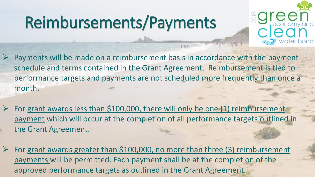# Reimbursements/Payments



- Payments will be made on a reimbursement basis in accordance with the payment schedule and terms contained in the Grant Agreement. Reimbursement is tied to performance targets and payments are not scheduled more frequently than once a month.
- For grant awards less than \$100,000, there will only be one (1) reimbursement payment which will occur at the completion of all performance targets outlined in the Grant Agreement.
- For grant awards greater than \$100,000, no more than three (3) reimbursement payments will be permitted. Each payment shall be at the completion of the approved performance targets as outlined in the Grant Agreement.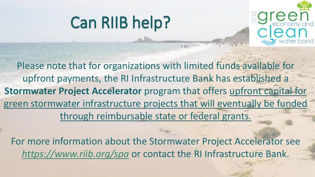### Can RIIB help?



Please note that for organizations with limited funds available for upfront payments, the RI Infrastructure Bank has established a **Stormwater Project Accelerator** program that offers upfront capital for green stormwater infrastructure projects that will eventually be funded through reimbursable state or federal grants.

For more information about the Stormwater Project Accelerator see *<https://www.riib.org/spa>* or contact the RI Infrastructure Bank.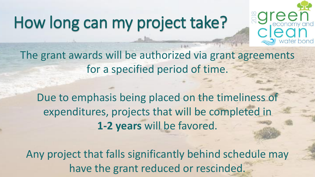### How long can my project take?



The grant awards will be authorized via grant agreements for a specified period of time.

Due to emphasis being placed on the timeliness of expenditures, projects that will be completed in **1-2 years** will be favored.

Any project that falls significantly behind schedule may have the grant reduced or rescinded.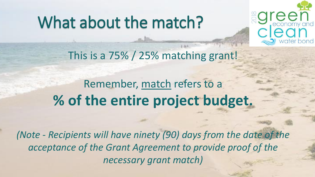### What about the match?



This is a 75% / 25% matching grant!

Remember, match refers to a **% of the entire project budget.**

*(Note - Recipients will have ninety (90) days from the date of the acceptance of the Grant Agreement to provide proof of the necessary grant match)*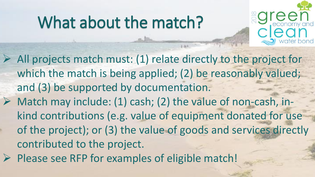### What about the match?



➢ All projects match must: (1) relate directly to the project for which the match is being applied; (2) be reasonably valued; and (3) be supported by documentation.  $\triangleright$  Match may include: (1) cash; (2) the value of non-cash, inkind contributions (e.g. value of equipment donated for use of the project); or (3) the value of goods and services directly contributed to the project.

 $\triangleright$  Please see RFP for examples of eligible match!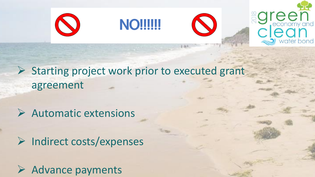

➢ Starting project work prior to executed grant agreement

➢ Automatic extensions

➢ Indirect costs/expenses

➢ Advance payments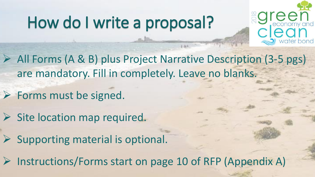# How do I write a proposal?



➢ All Forms (A & B) plus Project Narrative Description (3-5 pgs) are mandatory. Fill in completely. Leave no blanks.

➢ Forms must be signed.

 $\triangleright$  Site location map required.

➢ Supporting material is optional.

➢ Instructions/Forms start on page 10 of RFP (Appendix A)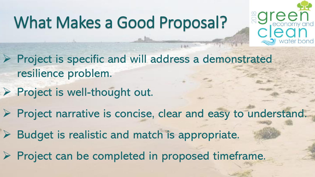### What Makes a Good Proposal?



- ➢ Project is specific and will address a demonstrated resilience problem.
- ➢ Project is well-thought out.
- ➢ Project narrative is concise, clear and easy to understand.
- Budget is realistic and match is appropriate.
- ➢ Project can be completed in proposed timeframe.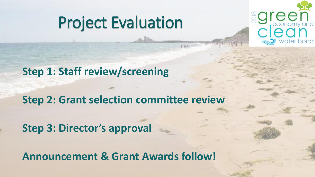### Project Evaluation



**Step 1: Staff review/screening**

**Step 2: Grant selection committee review**

**Step 3: Director's approval**

**Announcement & Grant Awards follow!**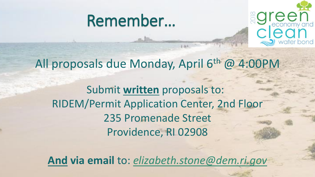



#### All proposals due Monday, April 6th @ 4:00PM

Submit **written** proposals to: RIDEM/Permit Application Center, 2nd Floor 235 Promenade Street Providence, RI 02908

**And via email** to: *[elizabeth.stone@dem.ri.gov](mailto:elizabeth.stone@dem.ri.gov)*